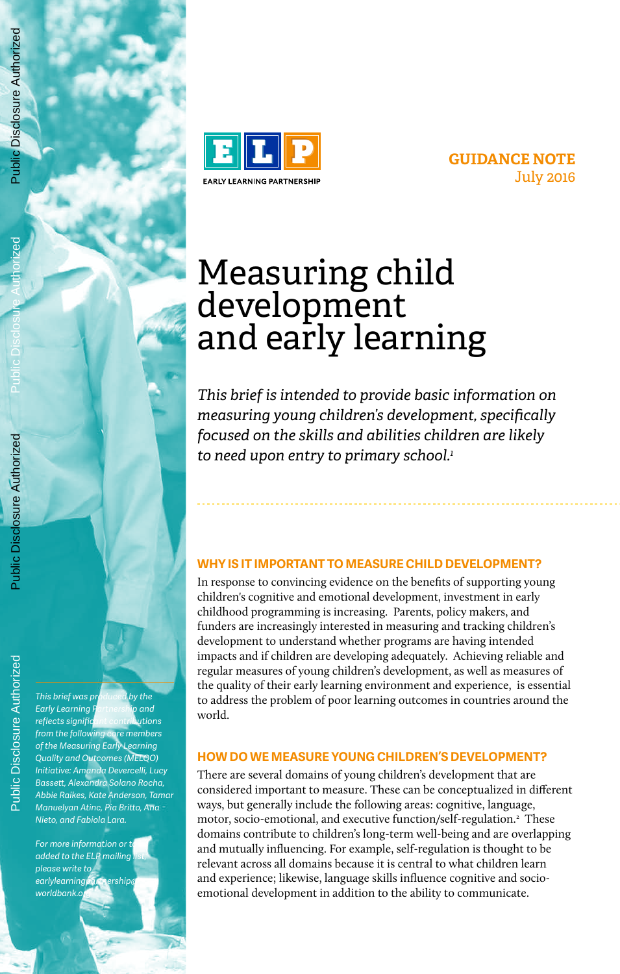Public Disclosure Authorized Public Disclosure Authorized

*This brief was produced by the Early Learning Partnership and reflects significant contributions from the following core members of the Measuring Early Learning Quality and Outcomes (MELQO) Initiative: Amanda Devercelli, Lucy Bassett, Alexandra Solano Rocha, Abbie Raikes, Kate Anderson, Tamar Manuelyan Atinc, Pia Britto, Ana Nieto, and Fabiola Lara.* 

*For more information or to added to the ELP mailing please write to earlylearningpartnership@* worldbank.o





# Measur Measuring child development and early learning

*This brief is intended to provide basic information on measuring young children's development, specifically focused on the skills and abilities children are likely to need upon entry to primary school.1*

## **WHY IS IT IMPORTANT TO MEASURE CHILD DEVELOPMENT?**

In response to convincing evidence on the benefits of supporting young children's cognitive and emotional development, investment in early childhood programming is increasing. Parents, policy makers, and funders are increasingly interested in measuring and tracking children's development to understand whether programs are having intended impacts and if children are developing adequately. Achieving reliable and regular measures of young children's development, as well as measures of the quality of their early learning environment and experience, is essential to address the problem of poor learning outcomes in countries around the world.

## **HOW DO WE MEASURE YOUNG CHILDREN'S DEVELOPMENT?**

There are several domains of young children's development that are considered important to measure. These can be conceptualized in different ways, but generally include the following areas: cognitive, language, motor, socio-emotional, and executive function/self-regulation.2 These domains contribute to children's long-term well-being and are overlapping and mutually influencing. For example, self-regulation is thought to be relevant across all domains because it is central to what children learn and experience; likewise, language skills influence cognitive and socioemotional development in addition to the ability to communicate.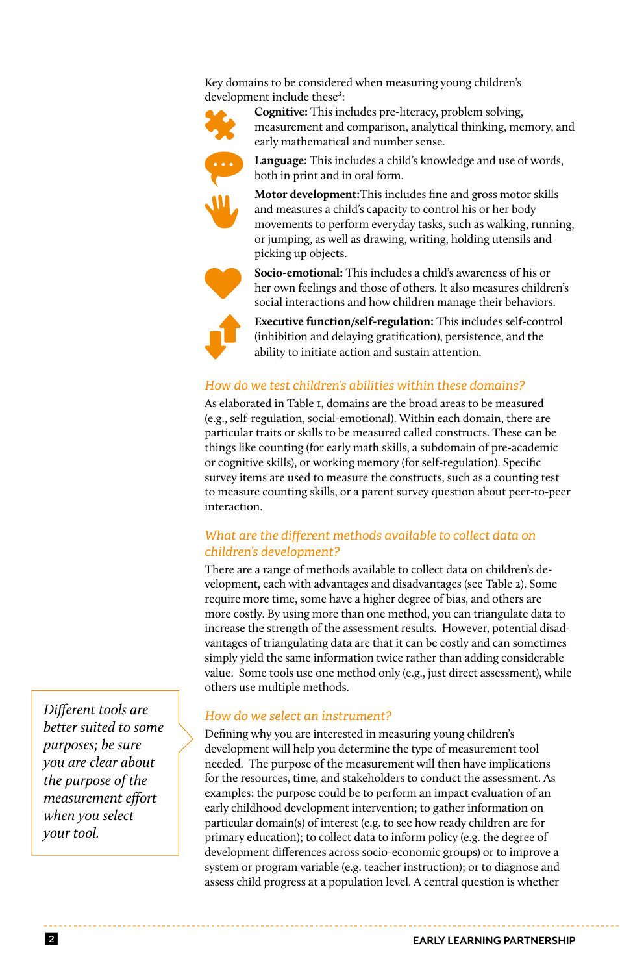Key domains to be considered when measuring young children's development include these<sup>3</sup>:



**Cognitive:** This includes pre-literacy, problem solving, measurement and comparison, analytical thinking, memory, and early mathematical and number sense.



**Language:** This includes a child's knowledge and use of words, both in print and in oral form.

**Motor development:**This includes fine and gross motor skills and measures a child's capacity to control his or her body movements to perform everyday tasks, such as walking, running, or jumping, as well as drawing, writing, holding utensils and picking up objects.



her own feelings and those of others. It also measures children's social interactions and how children manage their behaviors. **Executive function/self-regulation:** This includes self-control

(inhibition and delaying gratification), persistence, and the ability to initiate action and sustain attention.

## *How do we test children's abilities within these domains?*

As elaborated in Table 1, domains are the broad areas to be measured (e.g., self-regulation, social-emotional). Within each domain, there are particular traits or skills to be measured called constructs. These can be things like counting (for early math skills, a subdomain of pre-academic or cognitive skills), or working memory (for self-regulation). Specific survey items are used to measure the constructs, such as a counting test to measure counting skills, or a parent survey question about peer-to-peer interaction.

## *What are the different methods available to collect data on children's development?*

There are a range of methods available to collect data on children's development, each with advantages and disadvantages (see Table 2). Some require more time, some have a higher degree of bias, and others are more costly. By using more than one method, you can triangulate data to increase the strength of the assessment results. However, potential disadvantages of triangulating data are that it can be costly and can sometimes simply yield the same information twice rather than adding considerable value. Some tools use one method only (e.g., just direct assessment), while others use multiple methods.

#### *How do we select an instrument?*

Defining why you are interested in measuring young children's development will help you determine the type of measurement tool needed. The purpose of the measurement will then have implications for the resources, time, and stakeholders to conduct the assessment. As examples: the purpose could be to perform an impact evaluation of an early childhood development intervention; to gather information on particular domain(s) of interest (e.g. to see how ready children are for primary education); to collect data to inform policy (e.g. the degree of development differences across socio-economic groups) or to improve a system or program variable (e.g. teacher instruction); or to diagnose and assess child progress at a population level. A central question is whether

*Different tools are better suited to some purposes; be sure you are clear about the purpose of the measurement effort when you select your tool.*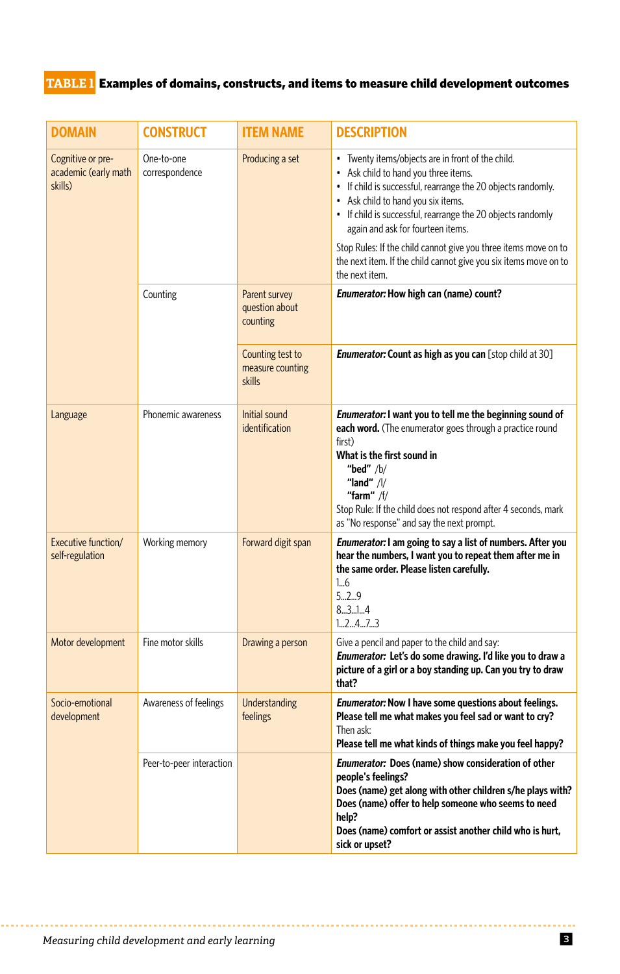# **TABLE 1** Examples of domains, constructs, and items to measure child development outcomes

| <b>DOMAIN</b>                                        | <b>CONSTRUCT</b>             | <b>ITEM NAME</b>                               | <b>DESCRIPTION</b>                                                                                                                                                                                                                                                                                                     |  |  |
|------------------------------------------------------|------------------------------|------------------------------------------------|------------------------------------------------------------------------------------------------------------------------------------------------------------------------------------------------------------------------------------------------------------------------------------------------------------------------|--|--|
| Cognitive or pre-<br>academic (early math<br>skills) | One-to-one<br>correspondence | Producing a set                                | • Twenty items/objects are in front of the child.<br>Ask child to hand you three items.<br>• If child is successful, rearrange the 20 objects randomly.<br>• Ask child to hand you six items.<br>• If child is successful, rearrange the 20 objects randomly<br>again and ask for fourteen items.                      |  |  |
|                                                      |                              |                                                | Stop Rules: If the child cannot give you three items move on to<br>the next item. If the child cannot give you six items move on to<br>the next item.                                                                                                                                                                  |  |  |
|                                                      | Counting                     | Parent survey<br>question about<br>counting    | Enumerator: How high can (name) count?                                                                                                                                                                                                                                                                                 |  |  |
|                                                      |                              | Counting test to<br>measure counting<br>skills | <b>Enumerator: Count as high as you can [stop child at 30]</b>                                                                                                                                                                                                                                                         |  |  |
| Language                                             | Phonemic awareness           | Initial sound<br>identification                | Enumerator: I want you to tell me the beginning sound of<br>each word. (The enumerator goes through a practice round<br>first)<br>What is the first sound in<br>"bed" $/b/$<br>"land" $/$<br>"farm" /f/<br>Stop Rule: If the child does not respond after 4 seconds, mark<br>as "No response" and say the next prompt. |  |  |
| Executive function/<br>self-regulation               | Working memory               | Forward digit span                             | Enumerator: I am going to say a list of numbers. After you<br>hear the numbers, I want you to repeat them after me in<br>the same order. Please listen carefully.<br>16<br>529<br>8314<br>12473                                                                                                                        |  |  |
| Motor development                                    | Fine motor skills            | Drawing a person                               | Give a pencil and paper to the child and say:<br>Enumerator: Let's do some drawing. I'd like you to draw a<br>picture of a girl or a boy standing up. Can you try to draw<br>that?                                                                                                                                     |  |  |
| Socio-emotional<br>development                       | Awareness of feelings        | Understanding<br>feelings                      | Enumerator: Now I have some questions about feelings.<br>Please tell me what makes you feel sad or want to cry?<br>Then ask:<br>Please tell me what kinds of things make you feel happy?                                                                                                                               |  |  |
|                                                      | Peer-to-peer interaction     |                                                | <b>Enumerator: Does (name) show consideration of other</b><br>people's feelings?<br>Does (name) get along with other children s/he plays with?<br>Does (name) offer to help someone who seems to need<br>help?<br>Does (name) comfort or assist another child who is hurt,<br>sick or upset?                           |  |  |

.........................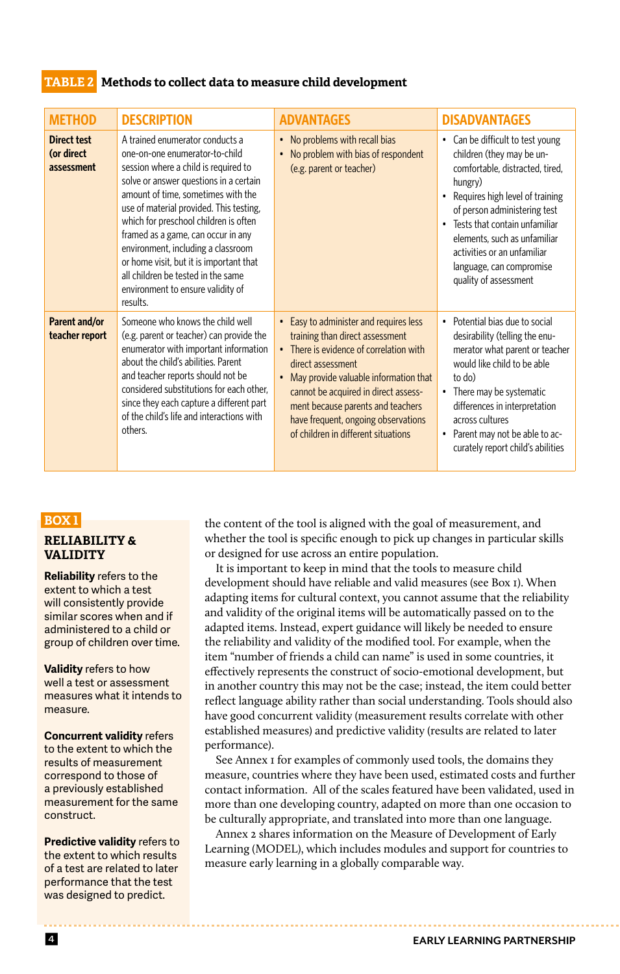## **TABLE 2 Methods to collect data to measure child development**

| <b>METHOD</b>                                  | <b>DESCRIPTION</b>                                                                                                                                                                                                                                                                                                                                                                                                                                                                          | <b>ADVANTAGES</b>                                                                                                                                                                                                                                                                                                                                                   | <b>DISADVANTAGES</b>                                                                                                                                                                                                                                                                                                                                        |
|------------------------------------------------|---------------------------------------------------------------------------------------------------------------------------------------------------------------------------------------------------------------------------------------------------------------------------------------------------------------------------------------------------------------------------------------------------------------------------------------------------------------------------------------------|---------------------------------------------------------------------------------------------------------------------------------------------------------------------------------------------------------------------------------------------------------------------------------------------------------------------------------------------------------------------|-------------------------------------------------------------------------------------------------------------------------------------------------------------------------------------------------------------------------------------------------------------------------------------------------------------------------------------------------------------|
| <b>Direct test</b><br>(or direct<br>assessment | A trained enumerator conducts a<br>one-on-one enumerator-to-child<br>session where a child is required to<br>solve or answer questions in a certain<br>amount of time, sometimes with the<br>use of material provided. This testing,<br>which for preschool children is often<br>framed as a game, can occur in any<br>environment, including a classroom<br>or home visit, but it is important that<br>all children be tested in the same<br>environment to ensure validity of<br>results. | No problems with recall bias<br>$\bullet$<br>No problem with bias of respondent<br>(e.g. parent or teacher)                                                                                                                                                                                                                                                         | Can be difficult to test young<br>$\bullet$<br>children (they may be un-<br>comfortable, distracted, tired,<br>hungry)<br>Requires high level of training<br>of person administering test<br>Tests that contain unfamiliar<br>$\bullet$<br>elements, such as unfamiliar<br>activities or an unfamiliar<br>language, can compromise<br>quality of assessment |
| Parent and/or<br>teacher report                | Someone who knows the child well<br>(e.g. parent or teacher) can provide the<br>enumerator with important information<br>about the child's abilities. Parent<br>and teacher reports should not be<br>considered substitutions for each other,<br>since they each capture a different part<br>of the child's life and interactions with<br>others.                                                                                                                                           | Easy to administer and requires less<br>$\bullet$<br>training than direct assessment<br>There is evidence of correlation with<br>$\bullet$<br>direct assessment<br>May provide valuable information that<br>cannot be acquired in direct assess-<br>ment because parents and teachers<br>have frequent, ongoing observations<br>of children in different situations | • Potential bias due to social<br>desirability (telling the enu-<br>merator what parent or teacher<br>would like child to be able<br>to do)<br>There may be systematic<br>differences in interpretation<br>across cultures<br>Parent may not be able to ac-<br>٠<br>curately report child's abilities                                                       |

#### **BOX 1**

#### **RELIABILITY & VALIDITY**

**Reliability** refers to the extent to which a test will consistently provide similar scores when and if administered to a child or group of children over time.

**Validity** refers to how well a test or assessment measures what it intends to measure.

**Concurrent validity** refers to the extent to which the results of measurement correspond to those of a previously established measurement for the same construct.

**Predictive validity** refers to the extent to which results of a test are related to later performance that the test was designed to predict.

the content of the tool is aligned with the goal of measurement, and whether the tool is specific enough to pick up changes in particular skills or designed for use across an entire population.

It is important to keep in mind that the tools to measure child development should have reliable and valid measures (see Box 1). When adapting items for cultural context, you cannot assume that the reliability and validity of the original items will be automatically passed on to the adapted items. Instead, expert guidance will likely be needed to ensure the reliability and validity of the modified tool. For example, when the item "number of friends a child can name" is used in some countries, it effectively represents the construct of socio-emotional development, but in another country this may not be the case; instead, the item could better reflect language ability rather than social understanding. Tools should also have good concurrent validity (measurement results correlate with other established measures) and predictive validity (results are related to later performance).

See Annex I for examples of commonly used tools, the domains they measure, countries where they have been used, estimated costs and further contact information. All of the scales featured have been validated, used in more than one developing country, adapted on more than one occasion to be culturally appropriate, and translated into more than one language.

Annex 2 shares information on the Measure of Development of Early Learning (MODEL), which includes modules and support for countries to measure early learning in a globally comparable way.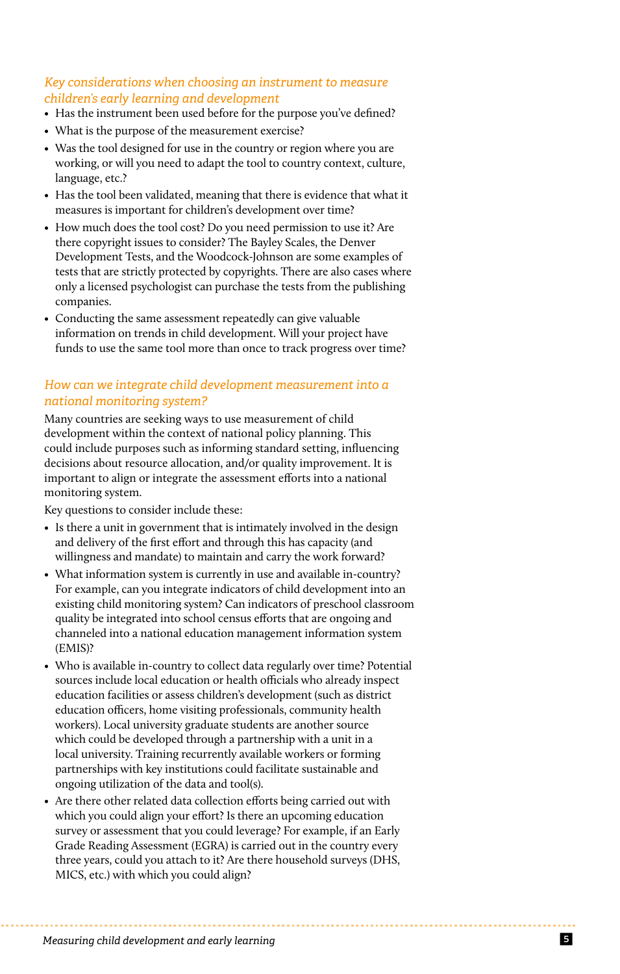#### *Key considerations when choosing an instrument to measure children's early learning and development*

- Has the instrument been used before for the purpose you've defined?
- What is the purpose of the measurement exercise?
- Was the tool designed for use in the country or region where you are working, or will you need to adapt the tool to country context, culture, language, etc.?
- Has the tool been validated, meaning that there is evidence that what it measures is important for children's development over time?
- How much does the tool cost? Do you need permission to use it? Are there copyright issues to consider? The Bayley Scales, the Denver Development Tests, and the Woodcock-Johnson are some examples of tests that are strictly protected by copyrights. There are also cases where only a licensed psychologist can purchase the tests from the publishing companies.
- Conducting the same assessment repeatedly can give valuable information on trends in child development. Will your project have funds to use the same tool more than once to track progress over time?

#### *How can we integrate child development measurement into a national monitoring system?*

Many countries are seeking ways to use measurement of child development within the context of national policy planning. This could include purposes such as informing standard setting, influencing decisions about resource allocation, and/or quality improvement. It is important to align or integrate the assessment efforts into a national monitoring system.

Key questions to consider include these:

- Is there a unit in government that is intimately involved in the design and delivery of the first effort and through this has capacity (and willingness and mandate) to maintain and carry the work forward?
- What information system is currently in use and available in-country? For example, can you integrate indicators of child development into an existing child monitoring system? Can indicators of preschool classroom quality be integrated into school census efforts that are ongoing and channeled into a national education management information system (EMIS)?
- Who is available in-country to collect data regularly over time? Potential sources include local education or health officials who already inspect education facilities or assess children's development (such as district education officers, home visiting professionals, community health workers). Local university graduate students are another source which could be developed through a partnership with a unit in a local university. Training recurrently available workers or forming partnerships with key institutions could facilitate sustainable and ongoing utilization of the data and tool(s).
- Are there other related data collection efforts being carried out with which you could align your effort? Is there an upcoming education survey or assessment that you could leverage? For example, if an Early Grade Reading Assessment (EGRA) is carried out in the country every three years, could you attach to it? Are there household surveys (DHS, MICS, etc.) with which you could align?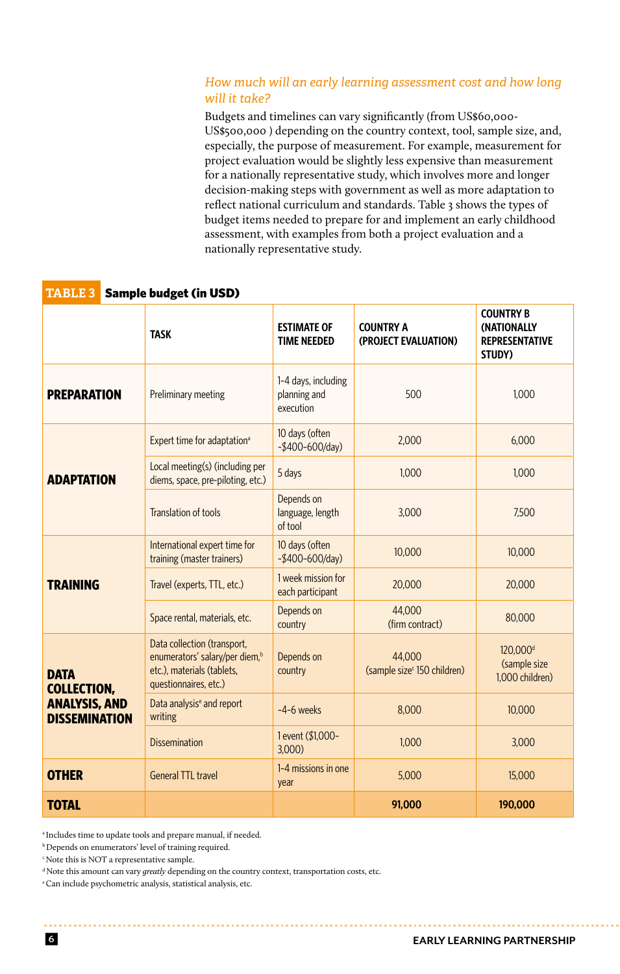#### *How much will an early learning assessment cost and how long will it take?*

Budgets and timelines can vary significantly (from US\$60,000- US\$500,000 ) depending on the country context, tool, sample size, and, especially, the purpose of measurement. For example, measurement for project evaluation would be slightly less expensive than measurement for a nationally representative study, which involves more and longer decision-making steps with government as well as more adaptation to reflect national curriculum and standards. Table 3 shows the types of budget items needed to prepare for and implement an early childhood assessment, with examples from both a project evaluation and a nationally representative study.

|                                              | <b>TASK</b>                                                                                                                      | <b>ESTIMATE OF</b><br><b>TIME NEEDED</b>         | <b>COUNTRY A</b><br>(PROJECT EVALUATION)          | <b>COUNTRY B</b><br>(NATIONALLY<br><b>REPRESENTATIVE</b><br>STUDY) |  |
|----------------------------------------------|----------------------------------------------------------------------------------------------------------------------------------|--------------------------------------------------|---------------------------------------------------|--------------------------------------------------------------------|--|
| <b>PREPARATION</b>                           | Preliminary meeting                                                                                                              | 1-4 days, including<br>planning and<br>execution | 500                                               | 1,000                                                              |  |
|                                              | Expert time for adaptation <sup>a</sup>                                                                                          | 10 days (often<br>$-$ \$400-600/day)             | 2,000                                             | 6,000                                                              |  |
| <b>ADAPTATION</b>                            | Local meeting(s) (including per<br>diems, space, pre-piloting, etc.)                                                             | 5 days                                           | 1,000                                             | 1,000                                                              |  |
|                                              | Translation of tools                                                                                                             | Depends on<br>language, length<br>of tool        | 3,000                                             | 7,500                                                              |  |
|                                              | International expert time for<br>training (master trainers)                                                                      | 10 days (often<br>$-$ \$400-600/day)             | 10,000                                            | 10,000                                                             |  |
| <b>TRAINING</b>                              | Travel (experts, TTL, etc.)                                                                                                      | 1 week mission for<br>each participant           | 20,000                                            | 20,000                                                             |  |
|                                              | Space rental, materials, etc.                                                                                                    | Depends on<br>country                            | 44,000<br>(firm contract)                         | 80,000                                                             |  |
| <b>DATA</b><br><b>COLLECTION,</b>            | Data collection (transport,<br>enumerators' salary/per diem, <sup>b</sup><br>etc.), materials (tablets,<br>questionnaires, etc.) | Depends on<br>country                            | 44.000<br>(sample size <sup>c</sup> 150 children) | 120,000 <sup>d</sup><br>(sample size<br>1,000 children)            |  |
| <b>ANALYSIS, AND</b><br><b>DISSEMINATION</b> | Data analysis <sup>e</sup> and report<br>writing                                                                                 | $-4-6$ weeks                                     | 8.000                                             | 10,000                                                             |  |
|                                              | <b>Dissemination</b>                                                                                                             | 1 event (\$1,000-<br>3,000                       | 1,000                                             | 3,000                                                              |  |
| <b>OTHER</b>                                 | <b>General TTL travel</b>                                                                                                        | 1-4 missions in one<br>year                      | 5.000                                             | 15,000                                                             |  |
| <b>TOTAL</b>                                 |                                                                                                                                  |                                                  | 91,000                                            | 190,000                                                            |  |

#### **TABLE 3** Sample budget (in USD)

a Includes time to update tools and prepare manual, if needed.

b Depends on enumerators' level of training required.

c Note this is NOT a representative sample.

<sup>d</sup> Note this amount can vary *greatly* depending on the country context, transportation costs, etc.

e Can include psychometric analysis, statistical analysis, etc.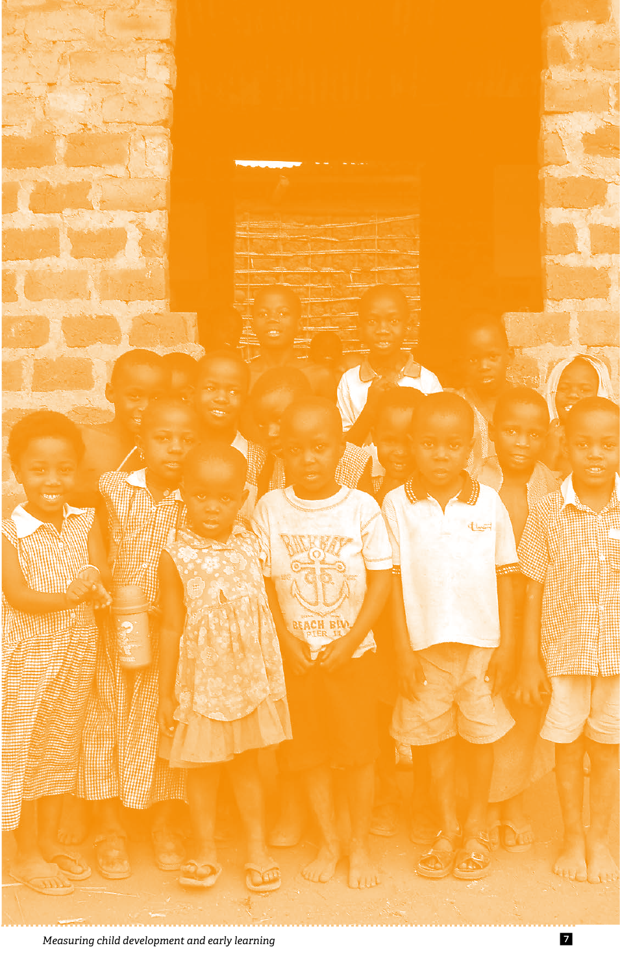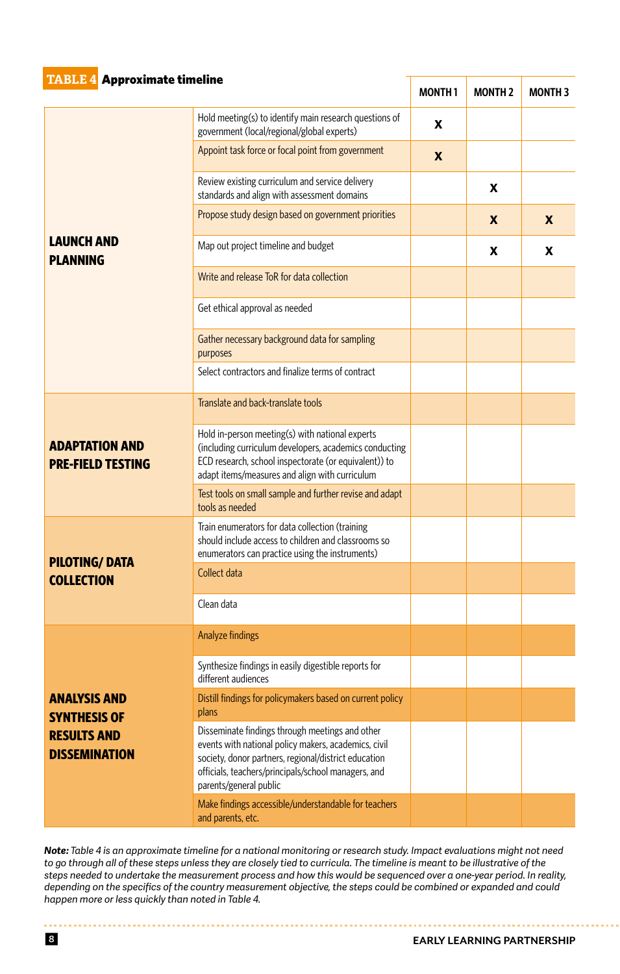| <b>Approximate timeline</b><br><b>TABLE</b>                                              |                                                                                                                                                                                                                                                  | <b>MONTH1</b>             | <b>MONTH 2</b>   | <b>MONTH3</b> |
|------------------------------------------------------------------------------------------|--------------------------------------------------------------------------------------------------------------------------------------------------------------------------------------------------------------------------------------------------|---------------------------|------------------|---------------|
|                                                                                          | Hold meeting(s) to identify main research questions of<br>government (local/regional/global experts)                                                                                                                                             | $\boldsymbol{\mathsf{X}}$ |                  |               |
|                                                                                          | Appoint task force or focal point from government                                                                                                                                                                                                | $\boldsymbol{x}$          |                  |               |
|                                                                                          | Review existing curriculum and service delivery<br>standards and align with assessment domains                                                                                                                                                   |                           | $\boldsymbol{x}$ |               |
|                                                                                          | Propose study design based on government priorities                                                                                                                                                                                              |                           | $\boldsymbol{x}$ | X             |
| <b>LAUNCH AND</b><br><b>PLANNING</b>                                                     | Map out project timeline and budget                                                                                                                                                                                                              |                           | X                | X             |
|                                                                                          | Write and release ToR for data collection                                                                                                                                                                                                        |                           |                  |               |
|                                                                                          | Get ethical approval as needed                                                                                                                                                                                                                   |                           |                  |               |
|                                                                                          | Gather necessary background data for sampling<br>purposes                                                                                                                                                                                        |                           |                  |               |
|                                                                                          | Select contractors and finalize terms of contract                                                                                                                                                                                                |                           |                  |               |
|                                                                                          | Translate and back-translate tools                                                                                                                                                                                                               |                           |                  |               |
| <b>ADAPTATION AND</b><br><b>PRE-FIELD TESTING</b>                                        | Hold in-person meeting(s) with national experts<br>(including curriculum developers, academics conducting<br>ECD research, school inspectorate (or equivalent)) to<br>adapt items/measures and align with curriculum                             |                           |                  |               |
|                                                                                          | Test tools on small sample and further revise and adapt<br>tools as needed                                                                                                                                                                       |                           |                  |               |
|                                                                                          | Train enumerators for data collection (training<br>should include access to children and classrooms so<br>enumerators can practice using the instruments)                                                                                        |                           |                  |               |
| <b>PILOTING/DATA</b><br><b>COLLECTION</b>                                                | Collect data                                                                                                                                                                                                                                     |                           |                  |               |
|                                                                                          | Clean data                                                                                                                                                                                                                                       |                           |                  |               |
|                                                                                          | Analyze findings                                                                                                                                                                                                                                 |                           |                  |               |
|                                                                                          | Synthesize findings in easily digestible reports for<br>different audiences                                                                                                                                                                      |                           |                  |               |
| <b>ANALYSIS AND</b><br><b>SYNTHESIS OF</b><br><b>RESULTS AND</b><br><b>DISSEMINATION</b> | Distill findings for policymakers based on current policy<br>plans                                                                                                                                                                               |                           |                  |               |
|                                                                                          | Disseminate findings through meetings and other<br>events with national policy makers, academics, civil<br>society, donor partners, regional/district education<br>officials, teachers/principals/school managers, and<br>parents/general public |                           |                  |               |
|                                                                                          | Make findings accessible/understandable for teachers<br>and parents, etc.                                                                                                                                                                        |                           |                  |               |

*Note: Table 4 is an approximate timeline for a national monitoring or research study. Impact evaluations might not need to go through all of these steps unless they are closely tied to curricula. The timeline is meant to be illustrative of the steps needed to undertake the measurement process and how this would be sequenced over a one-year period. In reality, depending on the specifics of the country measurement objective, the steps could be combined or expanded and could happen more or less quickly than noted in Table 4.*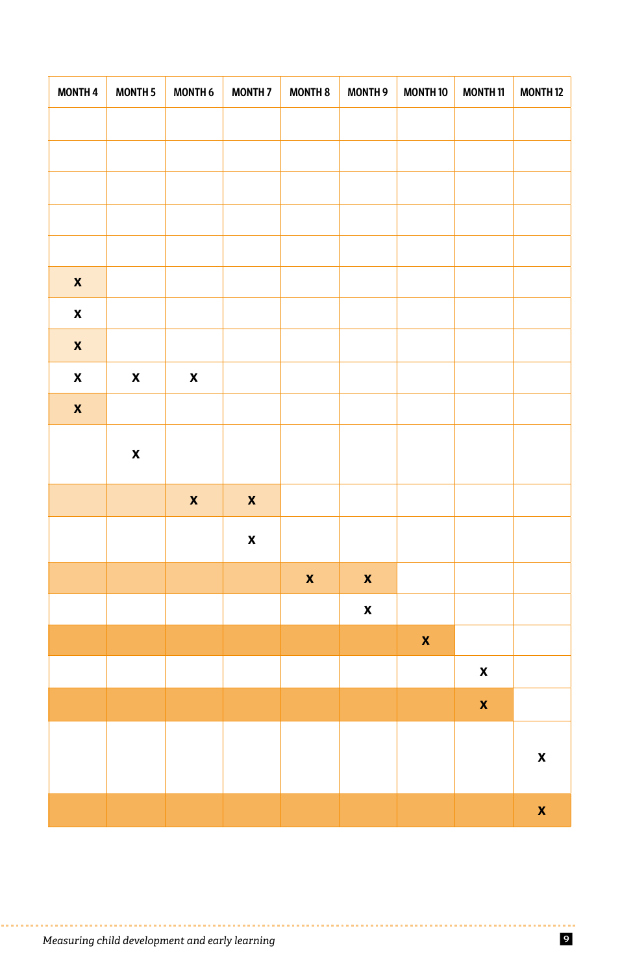| <b>MONTH4</b>             | <b>MONTH 5</b>     | <b>MONTH 6</b>     | MONTH 7      | MONTH 8      | MONTH 9                   | MONTH 10                  | $M$ ONTH 11 $M$ MONTH 12 |  |
|---------------------------|--------------------|--------------------|--------------|--------------|---------------------------|---------------------------|--------------------------|--|
|                           |                    |                    |              |              |                           |                           |                          |  |
|                           |                    |                    |              |              |                           |                           |                          |  |
|                           |                    |                    |              |              |                           |                           |                          |  |
|                           |                    |                    |              |              |                           |                           |                          |  |
|                           |                    |                    |              |              |                           |                           |                          |  |
|                           |                    |                    |              |              |                           |                           |                          |  |
| $\boldsymbol{\mathsf{X}}$ |                    |                    |              |              |                           |                           |                          |  |
|                           |                    |                    |              |              |                           |                           |                          |  |
| $\boldsymbol{\mathsf{X}}$ |                    |                    |              |              |                           |                           |                          |  |
| $\boldsymbol{\mathsf{X}}$ |                    |                    |              |              |                           |                           |                          |  |
| $\pmb{\mathsf{x}}$        | $\pmb{\mathsf{X}}$ | $\pmb{\mathsf{X}}$ |              |              |                           |                           |                          |  |
| $\mathbf{x}$              |                    |                    |              |              |                           |                           |                          |  |
|                           |                    |                    |              |              |                           |                           |                          |  |
|                           | $\pmb{\mathsf{X}}$ |                    |              |              |                           |                           |                          |  |
|                           |                    | $\mathbf{X}$       | $\mathbf{x}$ |              |                           |                           |                          |  |
|                           |                    |                    |              |              |                           |                           |                          |  |
|                           |                    |                    | $\mathbf{x}$ |              |                           |                           |                          |  |
|                           |                    |                    |              | $\mathbf{X}$ | $\boldsymbol{\mathsf{X}}$ |                           |                          |  |
|                           |                    |                    |              |              | $\boldsymbol{\mathsf{X}}$ |                           |                          |  |
|                           |                    |                    |              |              |                           | $\boldsymbol{\mathsf{X}}$ |                          |  |
|                           |                    |                    |              |              |                           |                           |                          |  |
|                           |                    |                    |              |              |                           |                           | $\pmb{\mathsf{X}}$       |  |
|                           |                    |                    |              |              |                           |                           | $\mathbf{X}$             |  |
|                           |                    |                    |              |              |                           |                           |                          |  |
|                           |                    |                    |              |              |                           |                           |                          |  |
|                           |                    |                    |              |              |                           |                           |                          |  |
|                           |                    |                    |              |              |                           |                           |                          |  |

.......................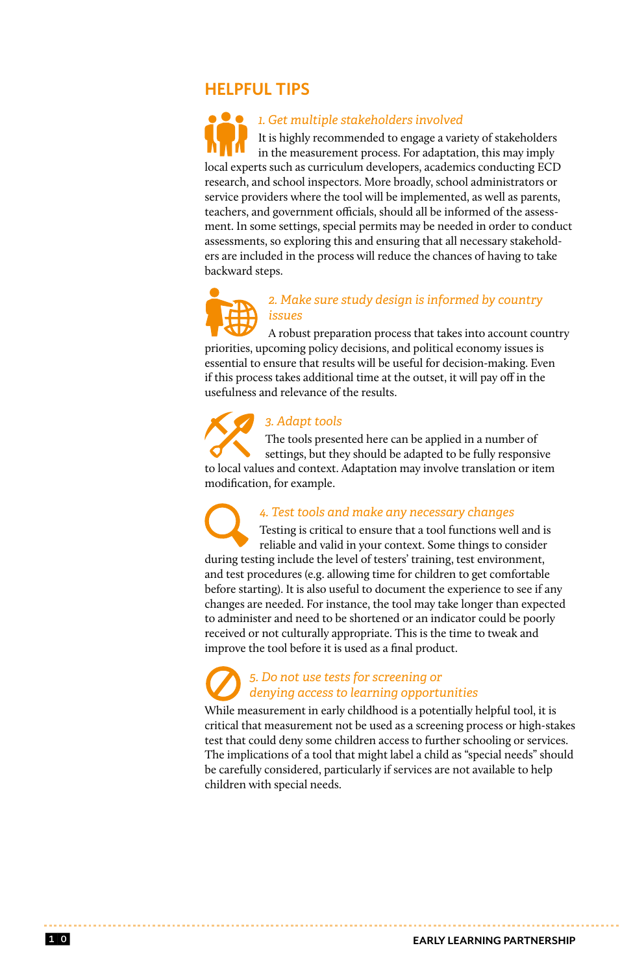# **HELPFUL TIPS**

*1. Get multiple stakeholders involved*  It is highly recommended to engage a variety of stakeholders in the measurement process. For adaptation, this may imply local experts such as curriculum developers, academics conducting ECD research, and school inspectors. More broadly, school administrators or service providers where the tool will be implemented, as well as parents, teachers, and government officials, should all be informed of the assessment. In some settings, special permits may be needed in order to conduct assessments, so exploring this and ensuring that all necessary stakeholders are included in the process will reduce the chances of having to take backward steps.



#### *2. Make sure study design is informed by country issues*

A robust preparation process that takes into account country priorities, upcoming policy decisions, and political economy issues is essential to ensure that results will be useful for decision-making. Even if this process takes additional time at the outset, it will pay off in the usefulness and relevance of the results.

*3. Adapt tools* The tools presented here can be applied in a number of settings, but they should be adapted to be fully responsive to local values and context. Adaptation may involve translation or item modification, for example.

*4. Test tools and make any necessary changes*

Testing is critical to ensure that a tool functions well and is reliable and valid in your context. Some things to consider during testing include the level of testers' training, test environment, and test procedures (e.g. allowing time for children to get comfortable before starting). It is also useful to document the experience to see if any changes are needed. For instance, the tool may take longer than expected to administer and need to be shortened or an indicator could be poorly received or not culturally appropriate. This is the time to tweak and improve the tool before it is used as a final product.

# *5. Do not use tests for screening or denying access to learning opportunities*

While measurement in early childhood is a potentially helpful tool, it is critical that measurement not be used as a screening process or high-stakes test that could deny some children access to further schooling or services. The implications of a tool that might label a child as "special needs" should be carefully considered, particularly if services are not available to help children with special needs.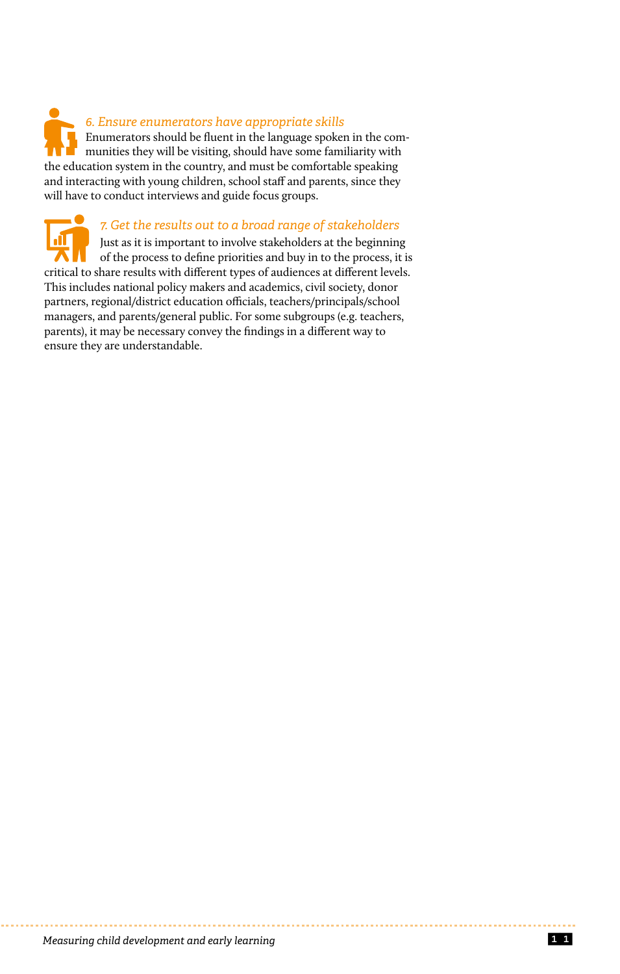*6. Ensure enumerators have appropriate skills* Enumerators should be fluent in the language spoken in the communities they will be visiting, should have some familiarity with the education system in the country, and must be comfortable speaking and interacting with young children, school staff and parents, since they will have to conduct interviews and guide focus groups.

*7. Get the results out to a broad range of stakeholders*

Just as it is important to involve stakeholders at the beginning of the process to define priorities and buy in to the process, it is critical to share results with different types of audiences at different levels. This includes national policy makers and academics, civil society, donor partners, regional/district education officials, teachers/principals/school managers, and parents/general public. For some subgroups (e.g. teachers, parents), it may be necessary convey the findings in a different way to ensure they are understandable.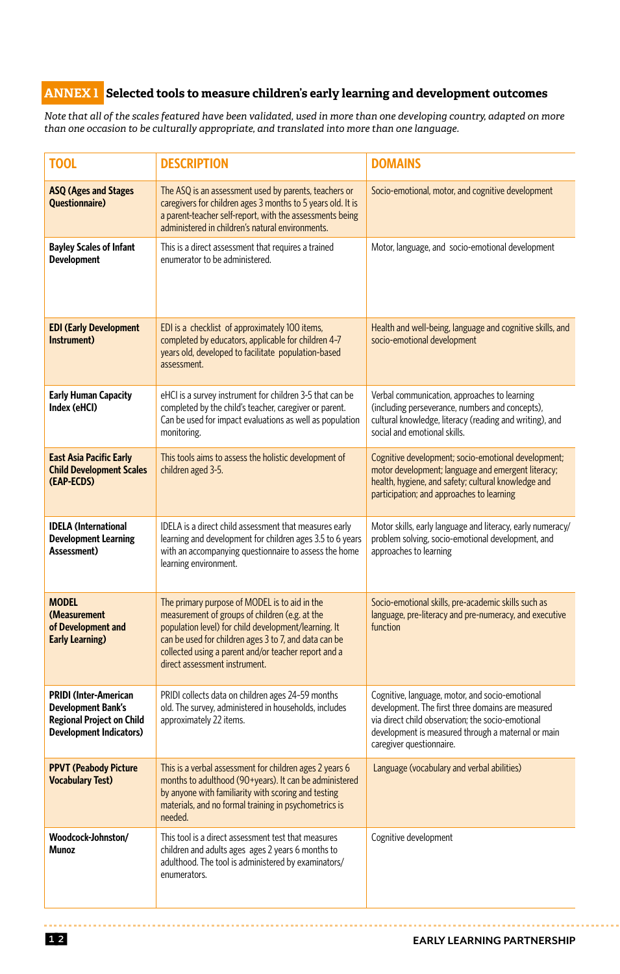# **ANNEX 1 Selected tools to measure children's early learning and development outcomes**

*Note that all of the scales featured have been validated, used in more than one developing country, adapted on more than one occasion to be culturally appropriate, and translated into more than one language.*

| <b>TOOL</b>                                                                                                                      | <b>DESCRIPTION</b>                                                                                                                                                                                                                                                                                        | <b>DOMAINS</b>                                                                                                                                                                                                                              |
|----------------------------------------------------------------------------------------------------------------------------------|-----------------------------------------------------------------------------------------------------------------------------------------------------------------------------------------------------------------------------------------------------------------------------------------------------------|---------------------------------------------------------------------------------------------------------------------------------------------------------------------------------------------------------------------------------------------|
| <b>ASQ (Ages and Stages</b><br><b>Questionnaire)</b>                                                                             | The ASQ is an assessment used by parents, teachers or<br>caregivers for children ages 3 months to 5 years old. It is<br>a parent-teacher self-report, with the assessments being<br>administered in children's natural environments.                                                                      | Socio-emotional, motor, and cognitive development                                                                                                                                                                                           |
| <b>Bayley Scales of Infant</b><br><b>Development</b>                                                                             | This is a direct assessment that requires a trained<br>enumerator to be administered.                                                                                                                                                                                                                     | Motor, language, and socio-emotional development                                                                                                                                                                                            |
| <b>EDI (Early Development</b><br>Instrument)                                                                                     | EDI is a checklist of approximately 100 items,<br>completed by educators, applicable for children 4-7<br>years old, developed to facilitate population-based<br>assessment.                                                                                                                               | Health and well-being, language and cognitive skills, and<br>socio-emotional development                                                                                                                                                    |
| <b>Early Human Capacity</b><br>Index (eHCl)                                                                                      | eHCI is a survey instrument for children 3-5 that can be<br>completed by the child's teacher, caregiver or parent.<br>Can be used for impact evaluations as well as population<br>monitoring.                                                                                                             | Verbal communication, approaches to learning<br>(including perseverance, numbers and concepts),<br>cultural knowledge, literacy (reading and writing), and<br>social and emotional skills.                                                  |
| <b>East Asia Pacific Early</b><br><b>Child Development Scales</b><br>(EAP-ECDS)                                                  | This tools aims to assess the holistic development of<br>children aged 3-5.                                                                                                                                                                                                                               | Cognitive development; socio-emotional development;<br>motor development; language and emergent literacy;<br>health, hygiene, and safety; cultural knowledge and<br>participation; and approaches to learning                               |
| <b>IDELA</b> (International<br><b>Development Learning</b><br>Assessment)                                                        | IDELA is a direct child assessment that measures early<br>learning and development for children ages 3.5 to 6 years<br>with an accompanying questionnaire to assess the home<br>learning environment.                                                                                                     | Motor skills, early language and literacy, early numeracy/<br>problem solving, socio-emotional development, and<br>approaches to learning                                                                                                   |
| <b>MODEL</b><br>(Measurement<br>of Development and<br><b>Early Learning)</b>                                                     | The primary purpose of MODEL is to aid in the<br>measurement of groups of children (e.g. at the<br>population level) for child development/learning. It<br>can be used for children ages 3 to 7, and data can be<br>collected using a parent and/or teacher report and a<br>direct assessment instrument. | Socio-emotional skills, pre-academic skills such as<br>language, pre-literacy and pre-numeracy, and executive<br>function                                                                                                                   |
| <b>PRIDI (Inter-American)</b><br><b>Development Bank's</b><br><b>Regional Project on Child</b><br><b>Development Indicators)</b> | PRIDI collects data on children ages 24-59 months<br>old. The survey, administered in households, includes<br>approximately 22 items.                                                                                                                                                                     | Cognitive, language, motor, and socio-emotional<br>development. The first three domains are measured<br>via direct child observation; the socio-emotional<br>development is measured through a maternal or main<br>caregiver questionnaire. |
| <b>PPVT (Peabody Picture</b><br><b>Vocabulary Test)</b>                                                                          | This is a verbal assessment for children ages 2 years 6<br>months to adulthood (90+years). It can be administered<br>by anyone with familiarity with scoring and testing<br>materials, and no formal training in psychometrics is<br>needed.                                                              | Language (vocabulary and verbal abilities)                                                                                                                                                                                                  |
| Woodcock-Johnston/<br>Munoz                                                                                                      | This tool is a direct assessment test that measures<br>children and adults ages ages 2 years 6 months to<br>adulthood. The tool is administered by examinators/<br>enumerators.                                                                                                                           | Cognitive development                                                                                                                                                                                                                       |

. . . . . . . . . . . . . . .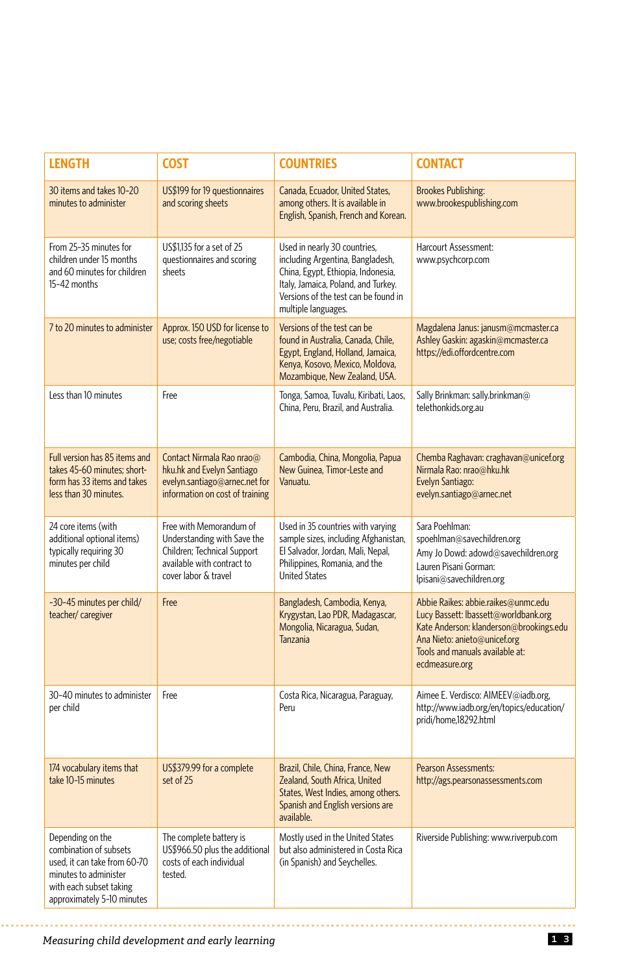| <b>LENGTH</b>                                                                                                                                                | <b>COST</b>                                                                                                                                 | <b>COUNTRIES</b>                                                                                                                                                                                             | <b>CONTACT</b>                                                                                                                                                                                              |
|--------------------------------------------------------------------------------------------------------------------------------------------------------------|---------------------------------------------------------------------------------------------------------------------------------------------|--------------------------------------------------------------------------------------------------------------------------------------------------------------------------------------------------------------|-------------------------------------------------------------------------------------------------------------------------------------------------------------------------------------------------------------|
| 30 items and takes 10-20<br>minutes to administer                                                                                                            | US\$199 for 19 questionnaires<br>and scoring sheets                                                                                         | Canada, Ecuador, United States,<br>among others. It is available in<br>English, Spanish, French and Korean.                                                                                                  | <b>Brookes Publishing:</b><br>www.brookespublishing.com                                                                                                                                                     |
| From 25-35 minutes for<br>children under 15 months<br>and 60 minutes for children<br>15-42 months                                                            | US\$1.135 for a set of 25<br>questionnaires and scoring<br>sheets                                                                           | Used in nearly 30 countries,<br>including Argentina, Bangladesh,<br>China, Egypt, Ethiopia, Indonesia,<br>Italy, Jamaica, Poland, and Turkey.<br>Versions of the test can be found in<br>multiple languages. | Harcourt Assessment:<br>www.psychcorp.com                                                                                                                                                                   |
| 7 to 20 minutes to administer                                                                                                                                | Approx. 150 USD for license to<br>use; costs free/negotiable                                                                                | Versions of the test can be<br>found in Australia, Canada, Chile,<br>Egypt, England, Holland, Jamaica,<br>Kenya, Kosovo, Mexico, Moldova,<br>Mozambique, New Zealand, USA.                                   | Magdalena Janus: janusm@mcmaster.ca<br>Ashley Gaskin: agaskin@mcmaster.ca<br>https://edi.offordcentre.com                                                                                                   |
| Less than 10 minutes                                                                                                                                         | Free                                                                                                                                        | Tonga, Samoa, Tuvalu, Kiribati, Laos,<br>China, Peru, Brazil, and Australia.                                                                                                                                 | Sally Brinkman: sally.brinkman@<br>telethonkids.org.au                                                                                                                                                      |
| Full version has 85 items and<br>takes 45-60 minutes; short-<br>form has 33 items and takes<br>less than 30 minutes.                                         | Contact Nirmala Rao nrao@<br>hku.hk and Evelyn Santiago<br>evelyn.santiago@arnec.net for<br>information on cost of training                 | Cambodia, China, Mongolia, Papua<br>New Guinea, Timor-Leste and<br>Vanuatu.                                                                                                                                  | Chemba Raghavan: craghavan@unicef.org<br>Nirmala Rao: nrao@hku.hk<br>Evelyn Santiago:<br>evelyn.santiago@arnec.net                                                                                          |
| 24 core items (with<br>additional optional items)<br>typically requiring 30<br>minutes per child                                                             | Free with Memorandum of<br>Understanding with Save the<br>Children; Technical Support<br>available with contract to<br>cover labor & travel | Used in 35 countries with varying<br>sample sizes, including Afghanistan,<br>El Salvador, Jordan, Mali, Nepal,<br>Philippines, Romania, and the<br><b>United States</b>                                      | Sara Poehlman:<br>spoehlman@savechildren.org<br>Amy Jo Dowd: adowd@savechildren.org<br>Lauren Pisani Gorman:<br>lpisani@savechildren.org                                                                    |
| ~30-45 minutes per child/<br>teacher/caregiver                                                                                                               | Free                                                                                                                                        | Bangladesh, Cambodia, Kenya,<br>Krygystan, Lao PDR, Madagascar,<br>Mongolia, Nicaragua, Sudan,<br>Tanzania                                                                                                   | Abbie Raikes: abbie.raikes@unmc.edu<br>Lucy Bassett: Ibassett@worldbank.org<br>Kate Anderson: klanderson@brookings.edu<br>Ana Nieto: anieto@unicef.org<br>Tools and manuals available at:<br>ecdmeasure.org |
| 30-40 minutes to administer Free<br>per child                                                                                                                |                                                                                                                                             | Costa Rica, Nicaragua, Paraguay,<br>Peru                                                                                                                                                                     | Aimee E. Verdisco: AIMEEV@iadb.org,<br>http://www.iadb.org/en/topics/education/<br>pridi/home,18292.html                                                                                                    |
| 174 vocabulary items that<br>take 10-15 minutes                                                                                                              | US\$379.99 for a complete<br>set of 25                                                                                                      | Brazil, Chile, China, France, New<br>Zealand, South Africa, United<br>States, West Indies, among others.<br>Spanish and English versions are<br>available.                                                   | Pearson Assessments:<br>http://ags.pearsonassessments.com                                                                                                                                                   |
| Depending on the<br>combination of subsets<br>used, it can take from 60-70<br>minutes to administer<br>with each subset taking<br>approximately 5-10 minutes | The complete battery is<br>US\$966.50 plus the additional<br>costs of each individual<br>tested.                                            | Mostly used in the United States<br>but also administered in Costa Rica<br>(in Spanish) and Seychelles.                                                                                                      | Riverside Publishing: www.riverpub.com                                                                                                                                                                      |

. . . . . . . . . . . . .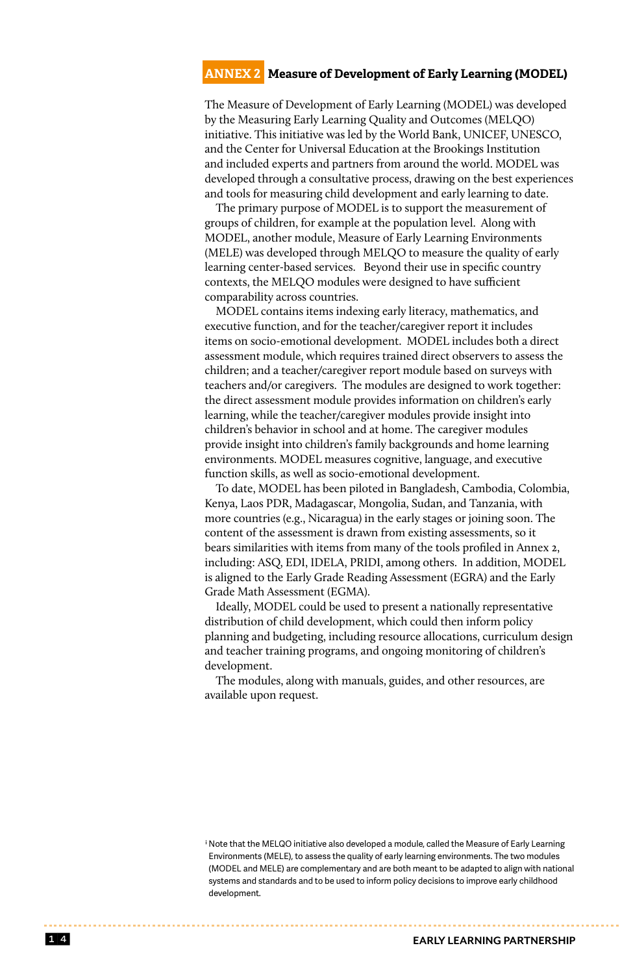#### **ANNEX 2 Measure of Development of Early Learning (MODEL)**

The Measure of Development of Early Learning (MODEL) was developed by the Measuring Early Learning Quality and Outcomes (MELQO) initiative. This initiative was led by the World Bank, UNICEF, UNESCO, and the Center for Universal Education at the Brookings Institution and included experts and partners from around the world. MODEL was developed through a consultative process, drawing on the best experiences and tools for measuring child development and early learning to date.

The primary purpose of MODEL is to support the measurement of groups of children, for example at the population level. Along with MODEL, another module, Measure of Early Learning Environments (MELE) was developed through MELQO to measure the quality of early learning center-based services. Beyond their use in specific country contexts, the MELQO modules were designed to have sufficient comparability across countries.

MODEL contains items indexing early literacy, mathematics, and executive function, and for the teacher/caregiver report it includes items on socio-emotional development. MODEL includes both a direct assessment module, which requires trained direct observers to assess the children; and a teacher/caregiver report module based on surveys with teachers and/or caregivers. The modules are designed to work together: the direct assessment module provides information on children's early learning, while the teacher/caregiver modules provide insight into children's behavior in school and at home. The caregiver modules provide insight into children's family backgrounds and home learning environments. MODEL measures cognitive, language, and executive function skills, as well as socio-emotional development.

To date, MODEL has been piloted in Bangladesh, Cambodia, Colombia, Kenya, Laos PDR, Madagascar, Mongolia, Sudan, and Tanzania, with more countries (e.g., Nicaragua) in the early stages or joining soon. The content of the assessment is drawn from existing assessments, so it bears similarities with items from many of the tools profiled in Annex 2, including: ASQ, EDI, IDELA, PRIDI, among others. In addition, MODEL is aligned to the Early Grade Reading Assessment (EGRA) and the Early Grade Math Assessment (EGMA).

Ideally, MODEL could be used to present a nationally representative distribution of child development, which could then inform policy planning and budgeting, including resource allocations, curriculum design and teacher training programs, and ongoing monitoring of children's development.

The modules, along with manuals, guides, and other resources, are available upon request.

i Note that the MELQO initiative also developed a module, called the Measure of Early Learning Environments (MELE), to assess the quality of early learning environments. The two modules (MODEL and MELE) are complementary and are both meant to be adapted to align with national systems and standards and to be used to inform policy decisions to improve early childhood development.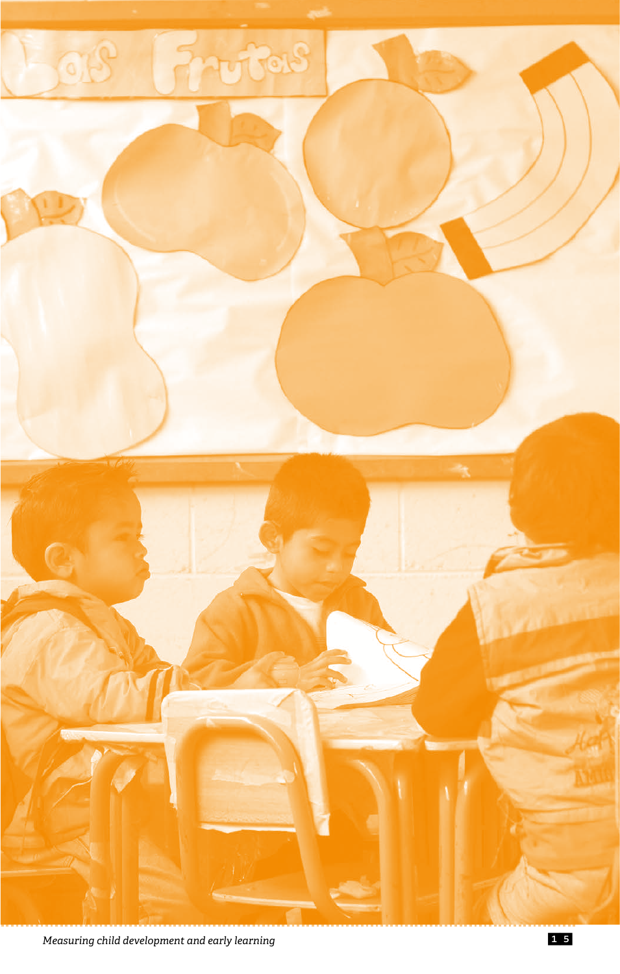